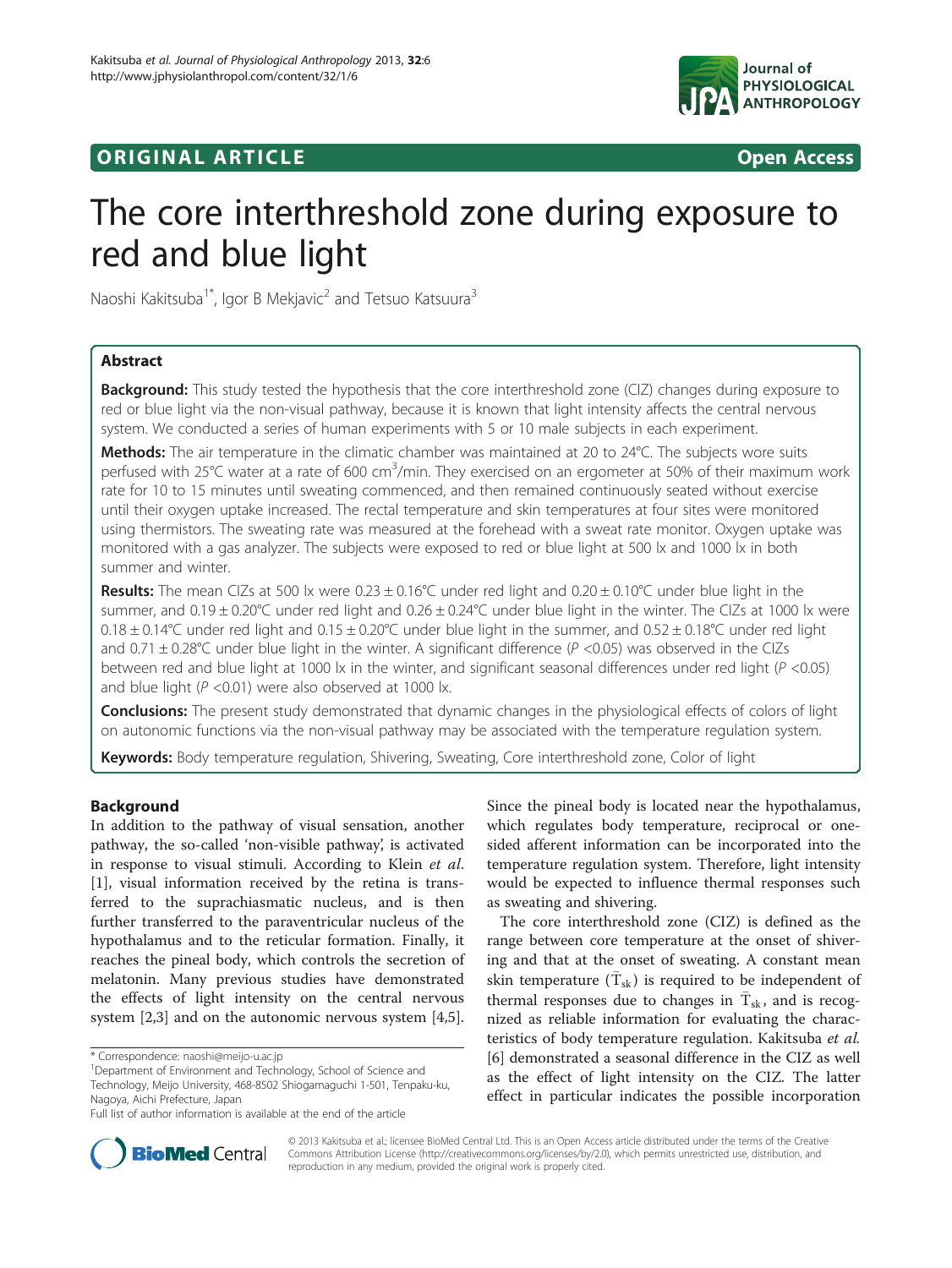

## **ORIGINAL ARTICLE CONSERVANCE IN A LOCAL CONSERVANCE IN A LOCAL CONSERVANCE IN A LOCAL CONSERVANCE IN A LOCAL CONSERVANCE IN A LOCAL CONSERVANCE IN A LOCAL CONSERVANCE IN A LOCAL CONSERVANCE IN A LOCAL CONSERVANCE IN A L**

# The core interthreshold zone during exposure to red and blue light

Naoshi Kakitsuba<sup>1\*</sup>, Igor B Mekjavic<sup>2</sup> and Tetsuo Katsuura<sup>3</sup>

## Abstract

**Background:** This study tested the hypothesis that the core interthreshold zone (CIZ) changes during exposure to red or blue light via the non-visual pathway, because it is known that light intensity affects the central nervous system. We conducted a series of human experiments with 5 or 10 male subjects in each experiment.

Methods: The air temperature in the climatic chamber was maintained at 20 to 24°C. The subjects wore suits perfused with 25°C water at a rate of 600 cm<sup>3</sup>/min. They exercised on an ergometer at 50% of their maximum work rate for 10 to 15 minutes until sweating commenced, and then remained continuously seated without exercise until their oxygen uptake increased. The rectal temperature and skin temperatures at four sites were monitored using thermistors. The sweating rate was measured at the forehead with a sweat rate monitor. Oxygen uptake was monitored with a gas analyzer. The subjects were exposed to red or blue light at 500 lx and 1000 lx in both summer and winter.

Results: The mean CIZs at 500 lx were  $0.23 \pm 0.16^{\circ}$ C under red light and  $0.20 \pm 0.10^{\circ}$ C under blue light in the summer, and  $0.19 \pm 0.20$ °C under red light and  $0.26 \pm 0.24$ °C under blue light in the winter. The CIZs at 1000 lx were  $0.18 \pm 0.14$ °C under red light and  $0.15 \pm 0.20$ °C under blue light in the summer, and  $0.52 \pm 0.18$ °C under red light and 0.71  $\pm$  0.28°C under blue light in the winter. A significant difference (P <0.05) was observed in the CIZs between red and blue light at 1000 lx in the winter, and significant seasonal differences under red light ( $P < 0.05$ ) and blue light ( $P < 0.01$ ) were also observed at 1000 lx.

Conclusions: The present study demonstrated that dynamic changes in the physiological effects of colors of light on autonomic functions via the non-visual pathway may be associated with the temperature regulation system.

Keywords: Body temperature regulation, Shivering, Sweating, Core interthreshold zone, Color of light

## Background

In addition to the pathway of visual sensation, another pathway, the so-called 'non-visible pathway', is activated in response to visual stimuli. According to Klein et al. [[1\]](#page-6-0), visual information received by the retina is transferred to the suprachiasmatic nucleus, and is then further transferred to the paraventricular nucleus of the hypothalamus and to the reticular formation. Finally, it reaches the pineal body, which controls the secretion of melatonin. Many previous studies have demonstrated the effects of light intensity on the central nervous system [[2,3\]](#page-6-0) and on the autonomic nervous system [\[4,5](#page-6-0)].

Since the pineal body is located near the hypothalamus, which regulates body temperature, reciprocal or onesided afferent information can be incorporated into the temperature regulation system. Therefore, light intensity would be expected to influence thermal responses such as sweating and shivering.

The core interthreshold zone (CIZ) is defined as the range between core temperature at the onset of shivering and that at the onset of sweating. A constant mean skin temperature  $(\bar{T}_{sk})$  is required to be independent of thermal responses due to changes in  $\overline{T}_{sk}$ , and is recognized as reliable information for evaluating the characteristics of body temperature regulation. Kakitsuba et al. [[6\]](#page-6-0) demonstrated a seasonal difference in the CIZ as well as the effect of light intensity on the CIZ. The latter effect in particular indicates the possible incorporation



© 2013 Kakitsuba et al.; licensee BioMed Central Ltd. This is an Open Access article distributed under the terms of the Creative Commons Attribution License [\(http://creativecommons.org/licenses/by/2.0\)](http://creativecommons.org/licenses/by/2.0), which permits unrestricted use, distribution, and reproduction in any medium, provided the original work is properly cited.

<sup>\*</sup> Correspondence: [naoshi@meijo-u.ac.jp](mailto:naoshi@meijo-u.ac.jp) <sup>1</sup>

<sup>&</sup>lt;sup>1</sup>Department of Environment and Technology, School of Science and Technology, Meijo University, 468-8502 Shiogamaguchi 1-501, Tenpaku-ku, Nagoya, Aichi Prefecture, Japan

Full list of author information is available at the end of the article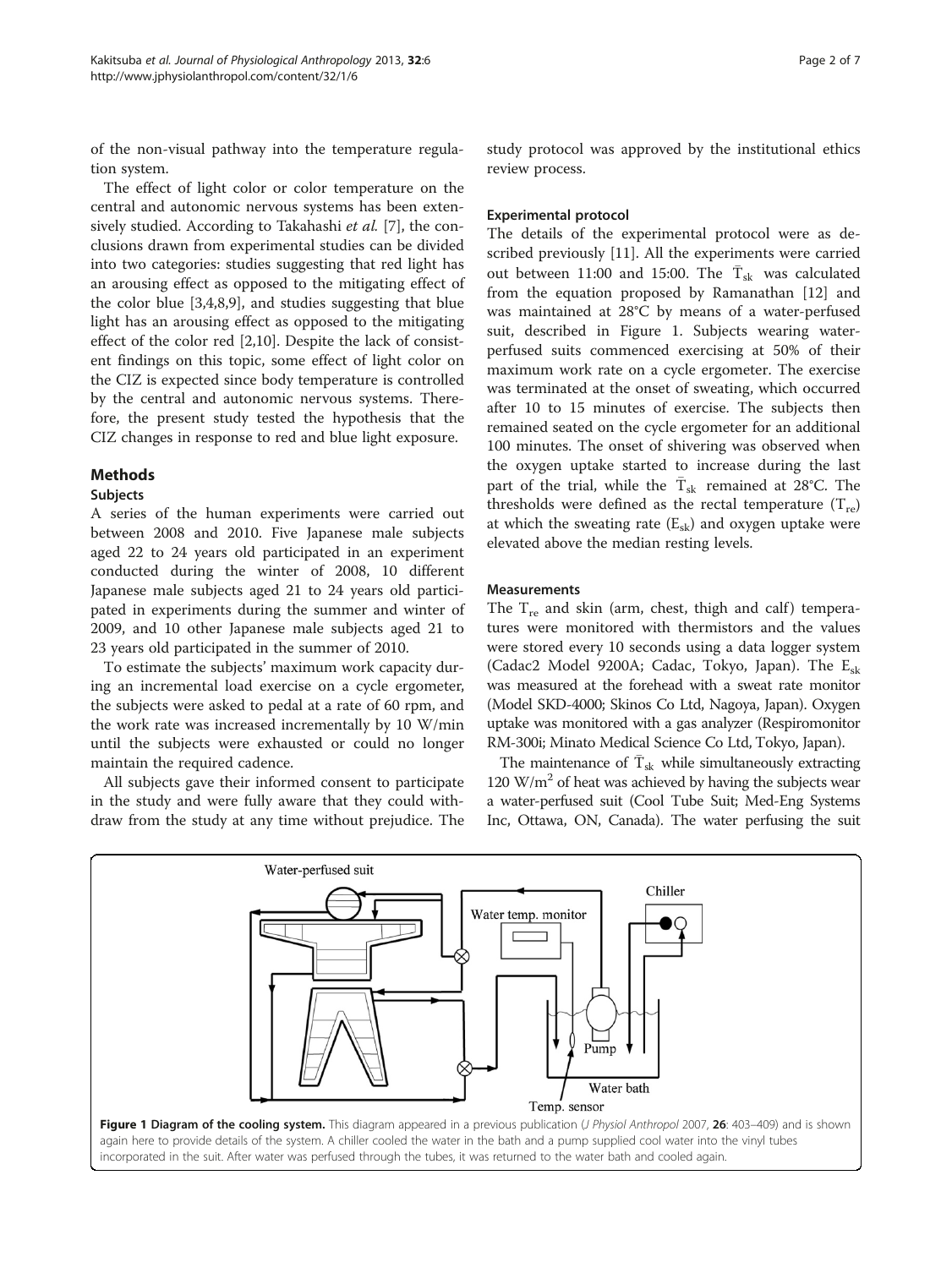<span id="page-1-0"></span>of the non-visual pathway into the temperature regulation system.

The effect of light color or color temperature on the central and autonomic nervous systems has been exten-sively studied. According to Takahashi et al. [\[7\]](#page-6-0), the conclusions drawn from experimental studies can be divided into two categories: studies suggesting that red light has an arousing effect as opposed to the mitigating effect of the color blue [[3,4,8,9\]](#page-6-0), and studies suggesting that blue light has an arousing effect as opposed to the mitigating effect of the color red [\[2,10\]](#page-6-0). Despite the lack of consistent findings on this topic, some effect of light color on the CIZ is expected since body temperature is controlled by the central and autonomic nervous systems. Therefore, the present study tested the hypothesis that the CIZ changes in response to red and blue light exposure.

## Methods

## Subjects

A series of the human experiments were carried out between 2008 and 2010. Five Japanese male subjects aged 22 to 24 years old participated in an experiment conducted during the winter of 2008, 10 different Japanese male subjects aged 21 to 24 years old participated in experiments during the summer and winter of 2009, and 10 other Japanese male subjects aged 21 to 23 years old participated in the summer of 2010.

To estimate the subjects' maximum work capacity during an incremental load exercise on a cycle ergometer, the subjects were asked to pedal at a rate of 60 rpm, and the work rate was increased incrementally by 10 W/min until the subjects were exhausted or could no longer maintain the required cadence.

All subjects gave their informed consent to participate in the study and were fully aware that they could withdraw from the study at any time without prejudice. The

study protocol was approved by the institutional ethics review process.

## Experimental protocol

The details of the experimental protocol were as described previously [[11\]](#page-6-0). All the experiments were carried out between 11:00 and 15:00. The  $T_{sk}$  was calculated from the equation proposed by Ramanathan [\[12](#page-6-0)] and was maintained at 28°C by means of a water-perfused suit, described in Figure 1. Subjects wearing waterperfused suits commenced exercising at 50% of their maximum work rate on a cycle ergometer. The exercise was terminated at the onset of sweating, which occurred after 10 to 15 minutes of exercise. The subjects then remained seated on the cycle ergometer for an additional 100 minutes. The onset of shivering was observed when the oxygen uptake started to increase during the last part of the trial, while the  $\bar{T}_{sk}$  remained at 28°C. The thresholds were defined as the rectal temperature  $(T_{re})$ at which the sweating rate  $(E_{sk})$  and oxygen uptake were elevated above the median resting levels.

## **Measurements**

The  $T_{\text{re}}$  and skin (arm, chest, thigh and calf) temperatures were monitored with thermistors and the values were stored every 10 seconds using a data logger system (Cadac2 Model 9200A; Cadac, Tokyo, Japan). The  $E_{sk}$ was measured at the forehead with a sweat rate monitor (Model SKD-4000; Skinos Co Ltd, Nagoya, Japan). Oxygen uptake was monitored with a gas analyzer (Respiromonitor RM-300i; Minato Medical Science Co Ltd, Tokyo, Japan).

The maintenance of  $\overline{T}_{sk}$  while simultaneously extracting 120  $\text{W/m}^2$  of heat was achieved by having the subjects wear a water-perfused suit (Cool Tube Suit; Med-Eng Systems Inc, Ottawa, ON, Canada). The water perfusing the suit

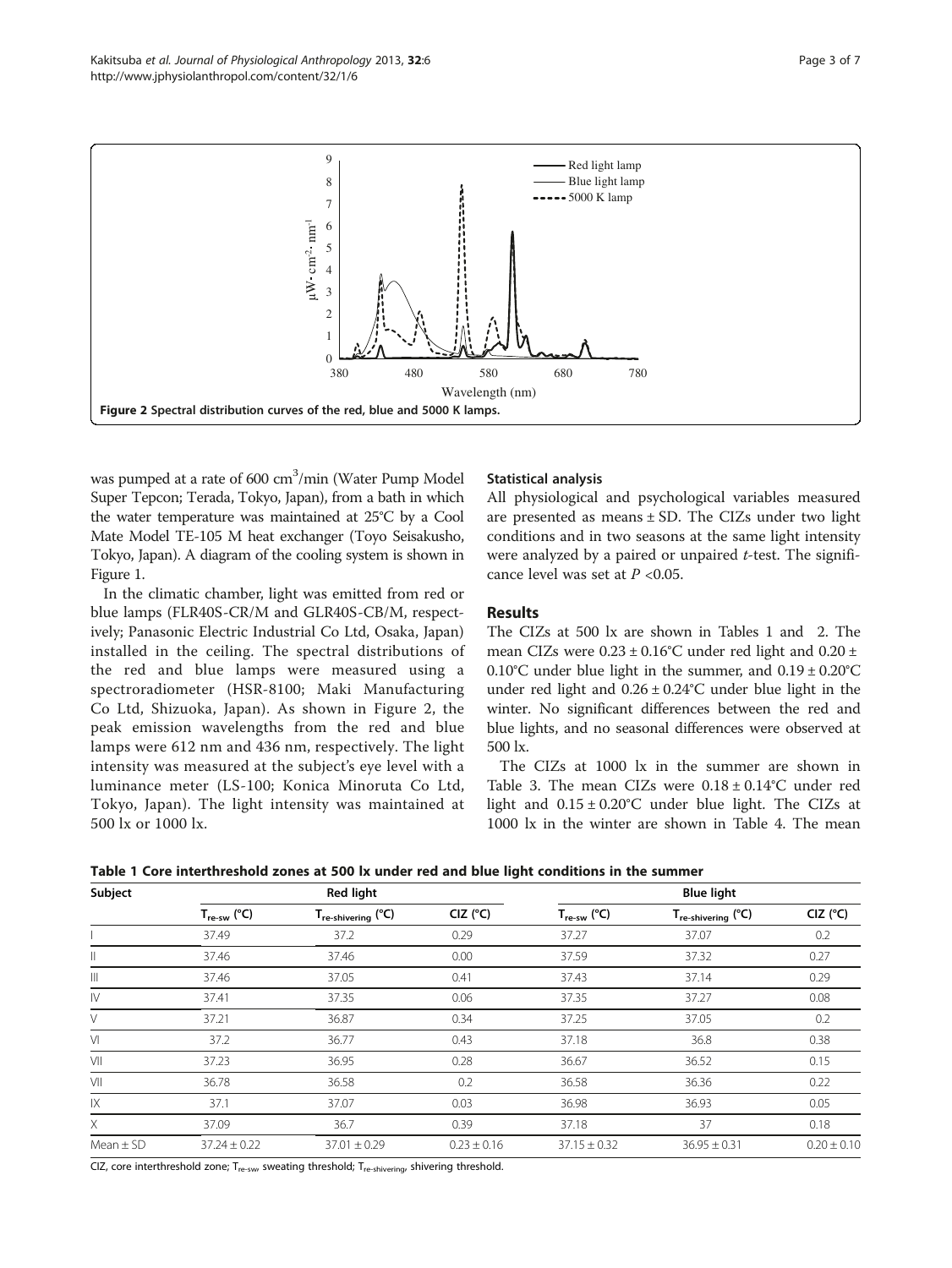<span id="page-2-0"></span>

was pumped at a rate of 600 cm<sup>3</sup>/min (Water Pump Model Super Tepcon; Terada, Tokyo, Japan), from a bath in which the water temperature was maintained at 25°C by a Cool Mate Model TE-105 M heat exchanger (Toyo Seisakusho, Tokyo, Japan). A diagram of the cooling system is shown in Figure [1.](#page-1-0)

In the climatic chamber, light was emitted from red or blue lamps (FLR40S-CR/M and GLR40S-CB/M, respectively; Panasonic Electric Industrial Co Ltd, Osaka, Japan) installed in the ceiling. The spectral distributions of the red and blue lamps were measured using a spectroradiometer (HSR-8100; Maki Manufacturing Co Ltd, Shizuoka, Japan). As shown in Figure 2, the peak emission wavelengths from the red and blue lamps were 612 nm and 436 nm, respectively. The light intensity was measured at the subject's eye level with a luminance meter (LS-100; Konica Minoruta Co Ltd, Tokyo, Japan). The light intensity was maintained at 500 lx or 1000 lx.

## Statistical analysis

All physiological and psychological variables measured are presented as means  $\pm$  SD. The CIZs under two light conditions and in two seasons at the same light intensity were analyzed by a paired or unpaired  $t$ -test. The significance level was set at  $P < 0.05$ .

## Results

The CIZs at 500 lx are shown in Tables 1 and [2](#page-3-0). The mean CIZs were  $0.23 \pm 0.16^{\circ}$ C under red light and  $0.20 \pm$ 0.10°C under blue light in the summer, and  $0.19 \pm 0.20$ °C under red light and  $0.26 \pm 0.24$ °C under blue light in the winter. No significant differences between the red and blue lights, and no seasonal differences were observed at 500 lx.

The CIZs at 1000 lx in the summer are shown in Table [3](#page-3-0). The mean CIZs were  $0.18 \pm 0.14$ °C under red light and  $0.15 \pm 0.20$ °C under blue light. The CIZs at 1000 lx in the winter are shown in Table [4.](#page-4-0) The mean

| Table 1 Core interthreshold zones at 500 lx under red and blue light conditions in the summer |  |
|-----------------------------------------------------------------------------------------------|--|
|-----------------------------------------------------------------------------------------------|--|

| Subject       | <b>Red light</b>        |                                |                 | <b>Blue light</b>       |                                |                 |
|---------------|-------------------------|--------------------------------|-----------------|-------------------------|--------------------------------|-----------------|
|               | $T_{\text{re-sw}}$ (°C) | T <sub>re-shivering</sub> (°C) | $CIZ$ ( $C$ )   | $T_{\text{re-sw}}$ (°C) | T <sub>re-shivering</sub> (°C) | $CIZ$ ( $C$ )   |
|               | 37.49                   | 37.2                           | 0.29            | 37.27                   | 37.07                          | 0.2             |
| Ш             | 37.46                   | 37.46                          | 0.00            | 37.59                   | 37.32                          | 0.27            |
| Ш             | 37.46                   | 37.05                          | 0.41            | 37.43                   | 37.14                          | 0.29            |
| $\mathsf{N}$  | 37.41                   | 37.35                          | 0.06            | 37.35                   | 37.27                          | 0.08            |
| V             | 37.21                   | 36.87                          | 0.34            | 37.25                   | 37.05                          | 0.2             |
| $\vee$        | 37.2                    | 36.77                          | 0.43            | 37.18                   | 36.8                           | 0.38            |
| V             | 37.23                   | 36.95                          | 0.28            | 36.67                   | 36.52                          | 0.15            |
| VII           | 36.78                   | 36.58                          | 0.2             | 36.58                   | 36.36                          | 0.22            |
| 1X            | 37.1                    | 37.07                          | 0.03            | 36.98                   | 36.93                          | 0.05            |
| X             | 37.09                   | 36.7                           | 0.39            | 37.18                   | 37                             | 0.18            |
| Mean $\pm$ SD | $37.24 \pm 0.22$        | $37.01 \pm 0.29$               | $0.23 \pm 0.16$ | $37.15 \pm 0.32$        | $36.95 \pm 0.31$               | $0.20 \pm 0.10$ |

CIZ, core interthreshold zone;  $T_{re-sw}$ , sweating threshold;  $T_{re-shivering}$ , shivering threshold.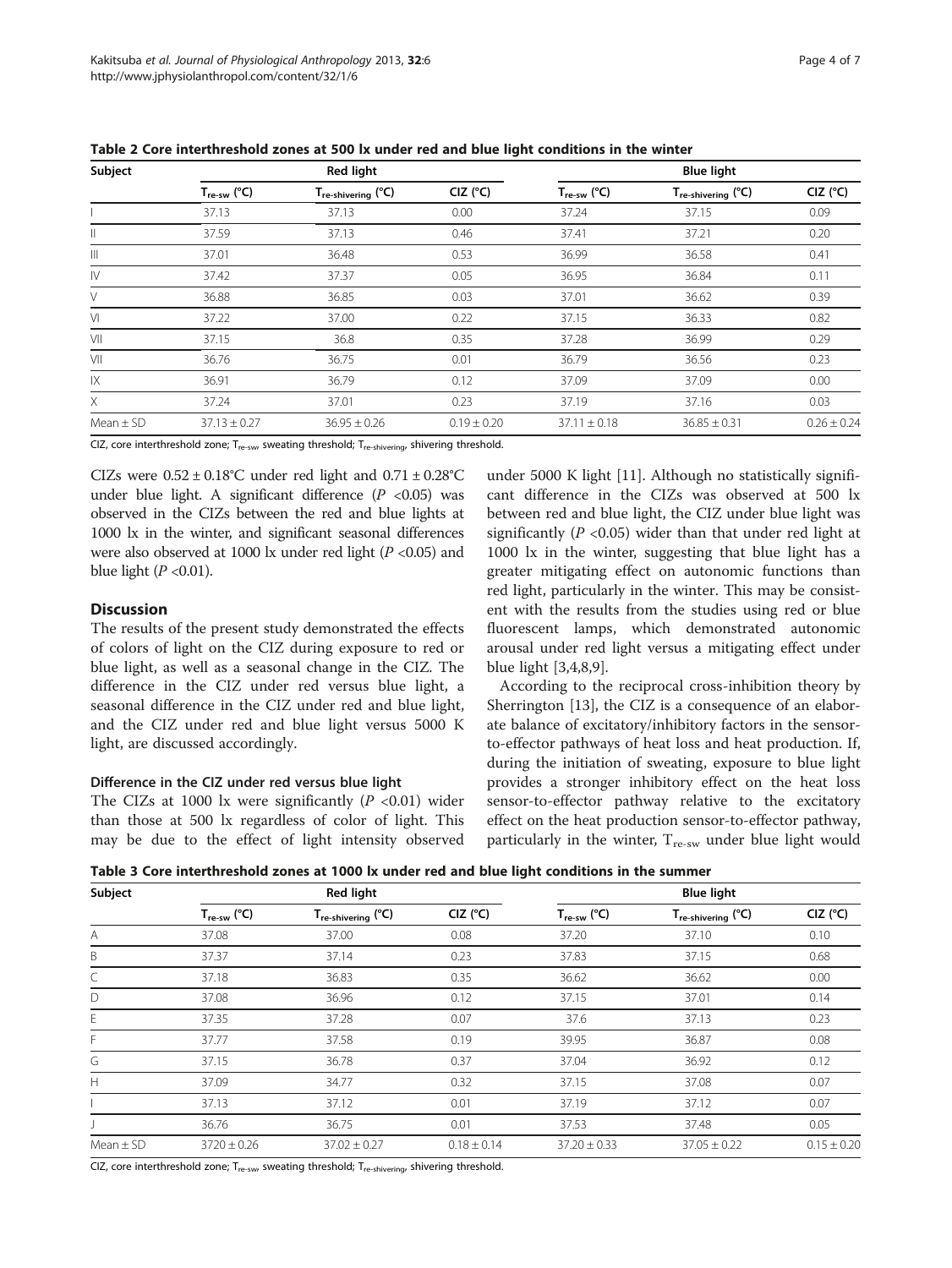| Subject       | <b>Red light</b>        |                    |                 | <b>Blue light</b>       |                    |                 |
|---------------|-------------------------|--------------------|-----------------|-------------------------|--------------------|-----------------|
|               | $T_{\text{re-sw}}$ (°C) | Tre-shivering (°C) | $CIZ$ ( $C$ )   | $T_{\text{re-sw}}$ (°C) | Tre-shivering (°C) | $CIZ$ ( $C$ )   |
|               | 37.13                   | 37.13              | 0.00            | 37.24                   | 37.15              | 0.09            |
| $\parallel$   | 37.59                   | 37.13              | 0.46            | 37.41                   | 37.21              | 0.20            |
| $\  \ $       | 37.01                   | 36.48              | 0.53            | 36.99                   | 36.58              | 0.41            |
| IV            | 37.42                   | 37.37              | 0.05            | 36.95                   | 36.84              | 0.11            |
| V             | 36.88                   | 36.85              | 0.03            | 37.01                   | 36.62              | 0.39            |
| VI            | 37.22                   | 37.00              | 0.22            | 37.15                   | 36.33              | 0.82            |
| VII           | 37.15                   | 36.8               | 0.35            | 37.28                   | 36.99              | 0.29            |
| VII           | 36.76                   | 36.75              | 0.01            | 36.79                   | 36.56              | 0.23            |
| IX            | 36.91                   | 36.79              | 0.12            | 37.09                   | 37.09              | 0.00            |
| X             | 37.24                   | 37.01              | 0.23            | 37.19                   | 37.16              | 0.03            |
| Mean $\pm$ SD | $37.13 \pm 0.27$        | $36.95 \pm 0.26$   | $0.19 \pm 0.20$ | $37.11 \pm 0.18$        | $36.85 \pm 0.31$   | $0.26 \pm 0.24$ |

<span id="page-3-0"></span>Table 2 Core interthreshold zones at 500 lx under red and blue light conditions in the winter

CIZ, core interthreshold zone;  $T_{re-sw}$ , sweating threshold;  $T_{re-shivering}$ , shivering threshold.

CIZs were  $0.52 \pm 0.18$ °C under red light and  $0.71 \pm 0.28$ °C under blue light. A significant difference  $(P \lt 0.05)$  was observed in the CIZs between the red and blue lights at 1000 lx in the winter, and significant seasonal differences were also observed at 1000 lx under red light  $(P<0.05)$  and blue light ( $P < 0.01$ ).

## **Discussion**

The results of the present study demonstrated the effects of colors of light on the CIZ during exposure to red or blue light, as well as a seasonal change in the CIZ. The difference in the CIZ under red versus blue light, a seasonal difference in the CIZ under red and blue light, and the CIZ under red and blue light versus 5000 K light, are discussed accordingly.

## Difference in the CIZ under red versus blue light

The CIZs at 1000 lx were significantly  $(P \lt 0.01)$  wider than those at 500 lx regardless of color of light. This may be due to the effect of light intensity observed

under 5000 K light [[11\]](#page-6-0). Although no statistically significant difference in the CIZs was observed at 500 lx between red and blue light, the CIZ under blue light was significantly ( $P$  <0.05) wider than that under red light at 1000 lx in the winter, suggesting that blue light has a greater mitigating effect on autonomic functions than red light, particularly in the winter. This may be consistent with the results from the studies using red or blue fluorescent lamps, which demonstrated autonomic arousal under red light versus a mitigating effect under blue light [\[3](#page-6-0),[4](#page-6-0),[8,9\]](#page-6-0).

According to the reciprocal cross-inhibition theory by Sherrington [[13](#page-6-0)], the CIZ is a consequence of an elaborate balance of excitatory/inhibitory factors in the sensorto-effector pathways of heat loss and heat production. If, during the initiation of sweating, exposure to blue light provides a stronger inhibitory effect on the heat loss sensor-to-effector pathway relative to the excitatory effect on the heat production sensor-to-effector pathway, particularly in the winter,  $T_{\text{re-sw}}$  under blue light would

Table 3 Core interthreshold zones at 1000 lx under red and blue light conditions in the summer

| Subject       | <b>Red light</b>        |                                |                   | <b>Blue light</b>       |                                     |                 |
|---------------|-------------------------|--------------------------------|-------------------|-------------------------|-------------------------------------|-----------------|
|               | $T_{\text{re-sw}}$ (°C) | T <sub>re-shivering</sub> (°C) | CIZ $(^{\circ}C)$ | $T_{\text{re-sw}}$ (°C) | $\Gamma_{\text{re-shivering}}$ (°C) | $CIZ$ ( $C$ )   |
| A             | 37.08                   | 37.00                          | 0.08              | 37.20                   | 37.10                               | 0.10            |
| B             | 37.37                   | 37.14                          | 0.23              | 37.83                   | 37.15                               | 0.68            |
| C             | 37.18                   | 36.83                          | 0.35              | 36.62                   | 36.62                               | 0.00            |
| D             | 37.08                   | 36.96                          | 0.12              | 37.15                   | 37.01                               | 0.14            |
| E             | 37.35                   | 37.28                          | 0.07              | 37.6                    | 37.13                               | 0.23            |
|               | 37.77                   | 37.58                          | 0.19              | 39.95                   | 36.87                               | 0.08            |
| G             | 37.15                   | 36.78                          | 0.37              | 37.04                   | 36.92                               | 0.12            |
| H             | 37.09                   | 34.77                          | 0.32              | 37.15                   | 37.08                               | 0.07            |
|               | 37.13                   | 37.12                          | 0.01              | 37.19                   | 37.12                               | 0.07            |
|               | 36.76                   | 36.75                          | 0.01              | 37.53                   | 37.48                               | 0.05            |
| Mean $\pm$ SD | $3720 \pm 0.26$         | $37.02 \pm 0.27$               | $0.18 \pm 0.14$   | $37.20 \pm 0.33$        | $37.05 \pm 0.22$                    | $0.15 \pm 0.20$ |

CIZ, core interthreshold zone;  $T_{re-sw}$ , sweating threshold;  $T_{re-shivering}$ , shivering threshold.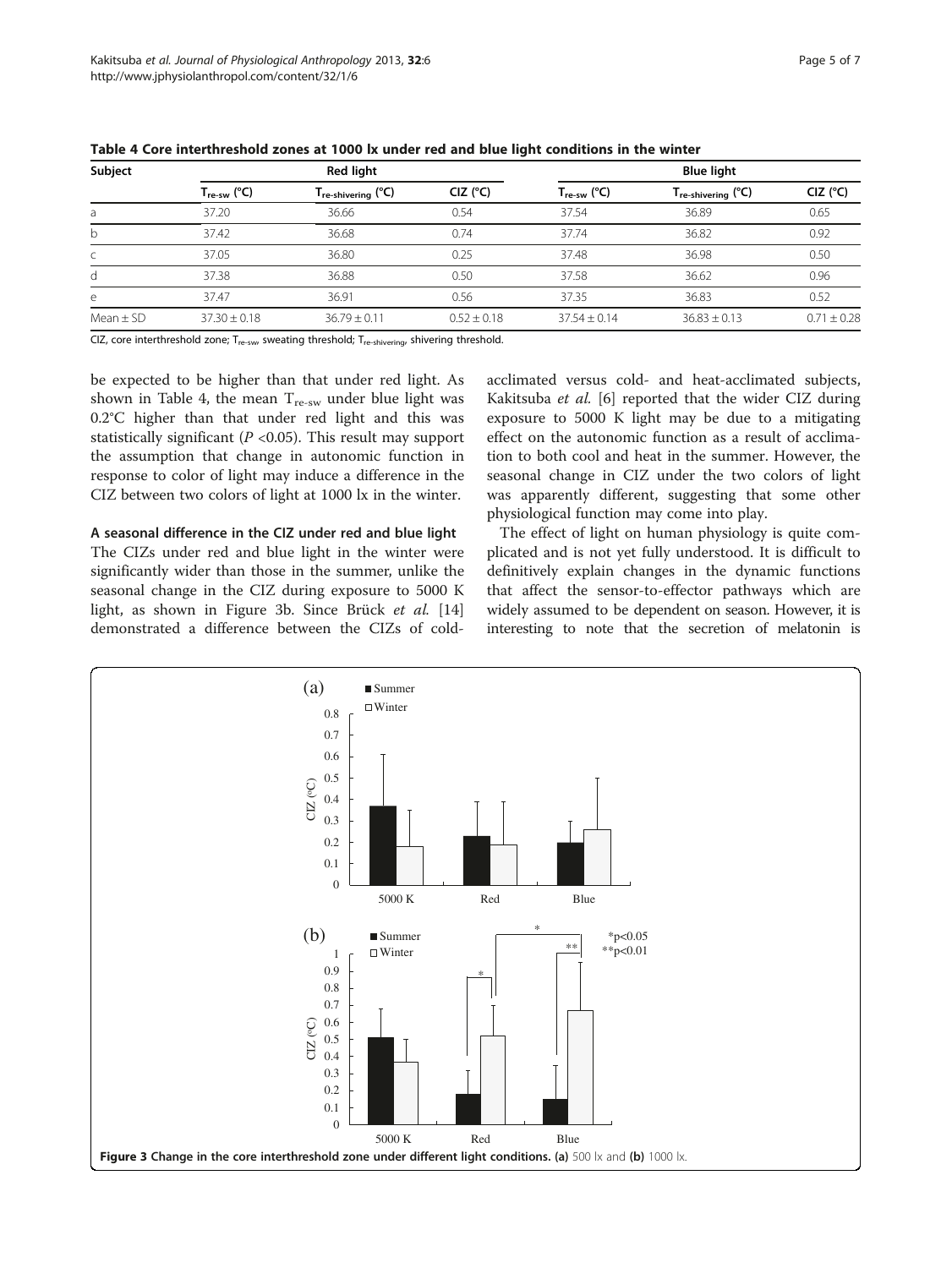| Subject       | <b>Red light</b>        |                                |                   | <b>Blue light</b>       |                                    |                   |
|---------------|-------------------------|--------------------------------|-------------------|-------------------------|------------------------------------|-------------------|
|               | $T_{\text{re-sw}}$ (°C) | $T_{\text{re-shivering}}$ (°C) | CIZ $(^{\circ}C)$ | $T_{\text{re-sw}}$ (°C) | $T_{\sf re\text{-}shivering}$ (°C) | CIZ $(^{\circ}C)$ |
| a             | 37.20                   | 36.66                          | 0.54              | 37.54                   | 36.89                              | 0.65              |
| b             | 37.42                   | 36.68                          | 0.74              | 37.74                   | 36.82                              | 0.92              |
| $\subset$     | 37.05                   | 36.80                          | 0.25              | 37.48                   | 36.98                              | 0.50              |
| d             | 37.38                   | 36.88                          | 0.50              | 37.58                   | 36.62                              | 0.96              |
| e             | 37.47                   | 36.91                          | 0.56              | 37.35                   | 36.83                              | 0.52              |
| Mean $\pm$ SD | $37.30 \pm 0.18$        | $36.79 \pm 0.11$               | $0.52 \pm 0.18$   | $37.54 \pm 0.14$        | $36.83 \pm 0.13$                   | $0.71 \pm 0.28$   |

<span id="page-4-0"></span>Table 4 Core interthreshold zones at 1000 lx under red and blue light conditions in the winter

CIZ, core interthreshold zone;  $T_{re-sw}$ , sweating threshold;  $T_{re-shivering}$ , shivering threshold.

be expected to be higher than that under red light. As shown in Table 4, the mean  $T_{\text{re-sw}}$  under blue light was 0.2°C higher than that under red light and this was statistically significant ( $P < 0.05$ ). This result may support the assumption that change in autonomic function in response to color of light may induce a difference in the CIZ between two colors of light at 1000 lx in the winter.

A seasonal difference in the CIZ under red and blue light The CIZs under red and blue light in the winter were significantly wider than those in the summer, unlike the seasonal change in the CIZ during exposure to 5000 K light, as shown in Figure 3b. Since Brück et al. [[14](#page-6-0)] demonstrated a difference between the CIZs of coldacclimated versus cold- and heat-acclimated subjects, Kakitsuba et al. [\[6](#page-6-0)] reported that the wider CIZ during exposure to 5000 K light may be due to a mitigating effect on the autonomic function as a result of acclimation to both cool and heat in the summer. However, the seasonal change in CIZ under the two colors of light was apparently different, suggesting that some other physiological function may come into play.

The effect of light on human physiology is quite complicated and is not yet fully understood. It is difficult to definitively explain changes in the dynamic functions that affect the sensor-to-effector pathways which are widely assumed to be dependent on season. However, it is interesting to note that the secretion of melatonin is

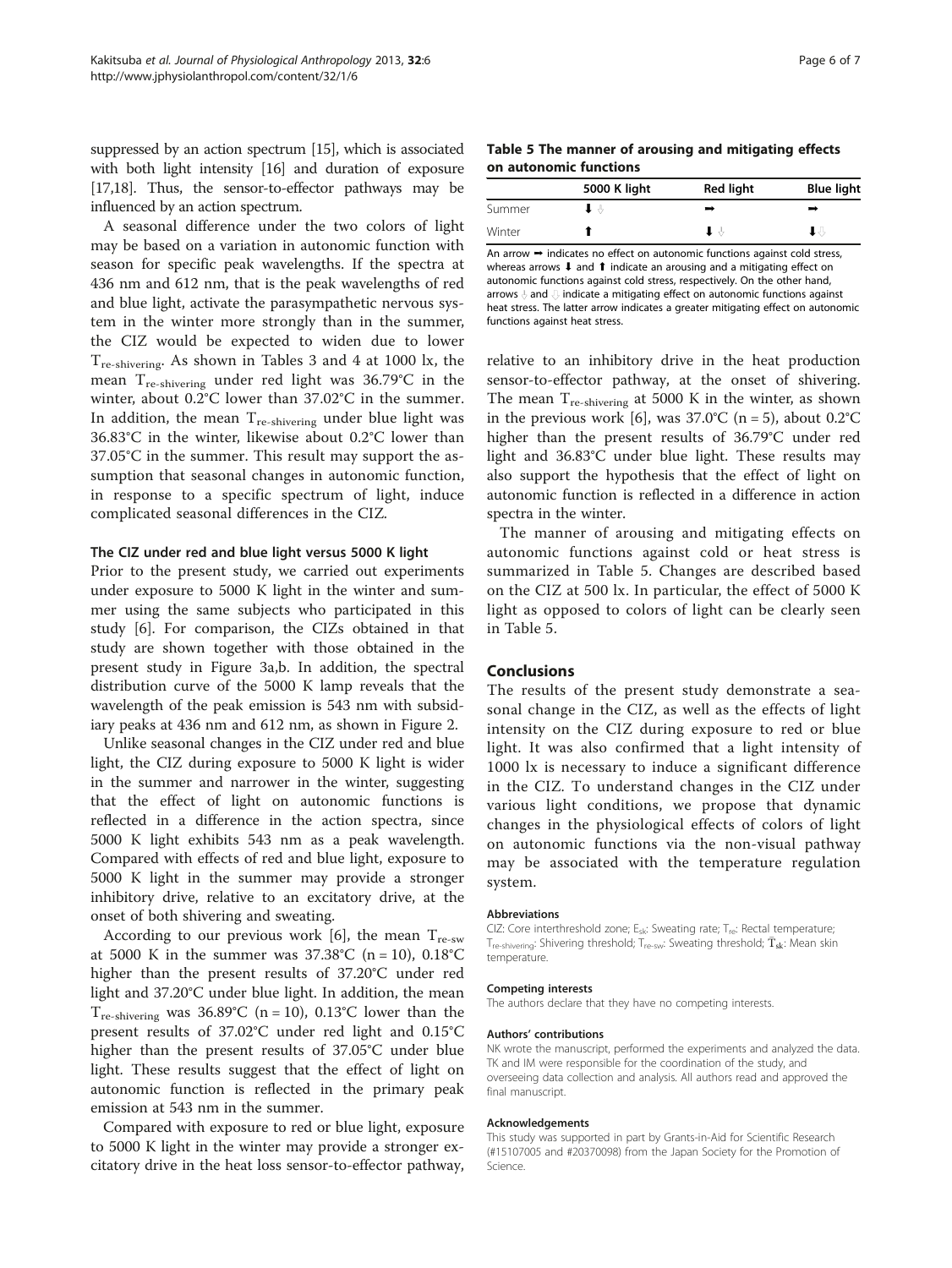suppressed by an action spectrum [[15](#page-6-0)], which is associated with both light intensity [\[16\]](#page-6-0) and duration of exposure [[17,18\]](#page-6-0). Thus, the sensor-to-effector pathways may be influenced by an action spectrum.

A seasonal difference under the two colors of light may be based on a variation in autonomic function with season for specific peak wavelengths. If the spectra at 436 nm and 612 nm, that is the peak wavelengths of red and blue light, activate the parasympathetic nervous system in the winter more strongly than in the summer, the CIZ would be expected to widen due to lower  $T_{\text{re-shivering}}$ . As shown in Tables [3](#page-3-0) and [4](#page-4-0) at 1000 lx, the mean Tre-shivering under red light was 36.79°C in the winter, about 0.2°C lower than 37.02°C in the summer. In addition, the mean  $T_{\text{re-shivering}}$  under blue light was 36.83°C in the winter, likewise about 0.2°C lower than 37.05°C in the summer. This result may support the assumption that seasonal changes in autonomic function, in response to a specific spectrum of light, induce complicated seasonal differences in the CIZ.

#### The CIZ under red and blue light versus 5000 K light

Prior to the present study, we carried out experiments under exposure to 5000 K light in the winter and summer using the same subjects who participated in this study [\[6\]](#page-6-0). For comparison, the CIZs obtained in that study are shown together with those obtained in the present study in Figure [3](#page-4-0)a,b. In addition, the spectral distribution curve of the 5000 K lamp reveals that the wavelength of the peak emission is 543 nm with subsidiary peaks at 436 nm and 612 nm, as shown in Figure [2.](#page-2-0)

Unlike seasonal changes in the CIZ under red and blue light, the CIZ during exposure to 5000 K light is wider in the summer and narrower in the winter, suggesting that the effect of light on autonomic functions is reflected in a difference in the action spectra, since 5000 K light exhibits 543 nm as a peak wavelength. Compared with effects of red and blue light, exposure to 5000 K light in the summer may provide a stronger inhibitory drive, relative to an excitatory drive, at the onset of both shivering and sweating.

According to our previous work [\[6\]](#page-6-0), the mean  $T_{\text{re-sw}}$ at 5000 K in the summer was  $37.38^{\circ}C$  (n = 10),  $0.18^{\circ}C$ higher than the present results of 37.20°C under red light and 37.20°C under blue light. In addition, the mean  $T_{\text{re-shivering}}$  was 36.89°C (n = 10), 0.13°C lower than the present results of 37.02°C under red light and 0.15°C higher than the present results of 37.05°C under blue light. These results suggest that the effect of light on autonomic function is reflected in the primary peak emission at 543 nm in the summer.

Compared with exposure to red or blue light, exposure to 5000 K light in the winter may provide a stronger excitatory drive in the heat loss sensor-to-effector pathway,

Table 5 The manner of arousing and mitigating effects on autonomic functions

|        | 5000 K light | <b>Red light</b> | Blue light |
|--------|--------------|------------------|------------|
| Summer |              | -                |            |
| Winter |              |                  |            |

An arrow ➞ indicates no effect on autonomic functions against cold stress, whereas arrows **↓** and **↑** indicate an arousing and a mitigating effect on autonomic functions against cold stress, respectively. On the other hand, arrows and undicate a mitigating effect on autonomic functions against heat stress. The latter arrow indicates a greater mitigating effect on autonomic functions against heat stress.

relative to an inhibitory drive in the heat production sensor-to-effector pathway, at the onset of shivering. The mean  $T_{\text{re-shivering}}$  at 5000 K in the winter, as shown in the previous work [\[6](#page-6-0)], was  $37.0^{\circ}$ C (n = 5), about  $0.2^{\circ}$ C higher than the present results of 36.79°C under red light and 36.83°C under blue light. These results may also support the hypothesis that the effect of light on autonomic function is reflected in a difference in action spectra in the winter.

The manner of arousing and mitigating effects on autonomic functions against cold or heat stress is summarized in Table 5. Changes are described based on the CIZ at 500 lx. In particular, the effect of 5000 K light as opposed to colors of light can be clearly seen in Table 5.

## Conclusions

The results of the present study demonstrate a seasonal change in the CIZ, as well as the effects of light intensity on the CIZ during exposure to red or blue light. It was also confirmed that a light intensity of 1000 lx is necessary to induce a significant difference in the CIZ. To understand changes in the CIZ under various light conditions, we propose that dynamic changes in the physiological effects of colors of light on autonomic functions via the non-visual pathway may be associated with the temperature regulation system.

#### Abbreviations

CIZ: Core interthreshold zone;  $E_{sk}$ : Sweating rate;  $T_{re}$ : Rectal temperature;  $T_{\text{re-shivering}}$ : Shivering threshold;  $T_{\text{re-sw}}$ : Sweating threshold;  $\bar{T}_{\text{sk}}$ : Mean skin temperature.

#### Competing interests

The authors declare that they have no competing interests.

#### Authors' contributions

NK wrote the manuscript, performed the experiments and analyzed the data. TK and IM were responsible for the coordination of the study, and overseeing data collection and analysis. All authors read and approved the final manuscript.

#### Acknowledgements

This study was supported in part by Grants-in-Aid for Scientific Research (#15107005 and #20370098) from the Japan Society for the Promotion of Science.